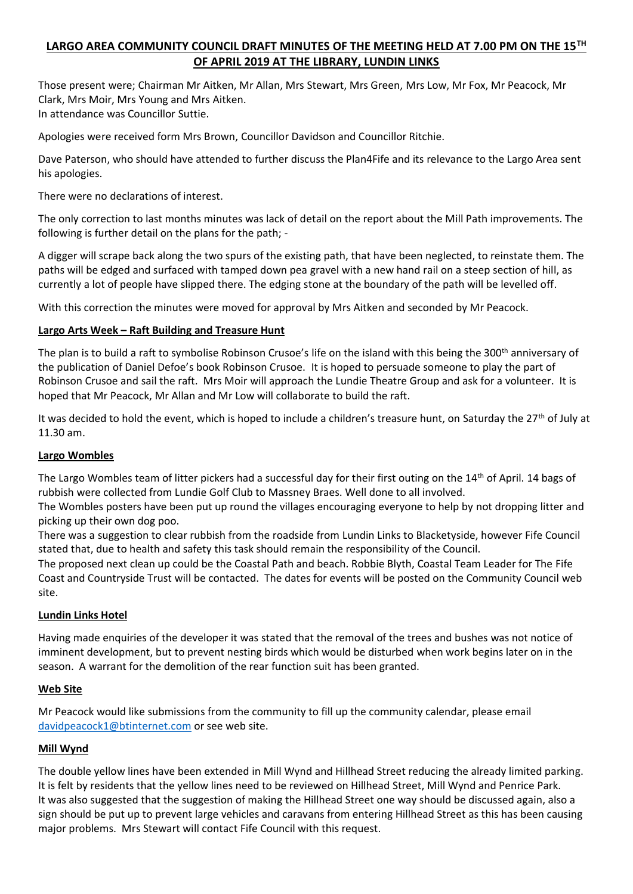# **LARGO AREA COMMUNITY COUNCIL DRAFT MINUTES OF THE MEETING HELD AT 7.00 PM ON THE 15TH OF APRIL 2019 AT THE LIBRARY, LUNDIN LINKS**

Those present were; Chairman Mr Aitken, Mr Allan, Mrs Stewart, Mrs Green, Mrs Low, Mr Fox, Mr Peacock, Mr Clark, Mrs Moir, Mrs Young and Mrs Aitken. In attendance was Councillor Suttie.

Apologies were received form Mrs Brown, Councillor Davidson and Councillor Ritchie.

Dave Paterson, who should have attended to further discuss the Plan4Fife and its relevance to the Largo Area sent his apologies.

There were no declarations of interest.

The only correction to last months minutes was lack of detail on the report about the Mill Path improvements. The following is further detail on the plans for the path; -

A digger will scrape back along the two spurs of the existing path, that have been neglected, to reinstate them. The paths will be edged and surfaced with tamped down pea gravel with a new hand rail on a steep section of hill, as currently a lot of people have slipped there. The edging stone at the boundary of the path will be levelled off.

With this correction the minutes were moved for approval by Mrs Aitken and seconded by Mr Peacock.

### **Largo Arts Week – Raft Building and Treasure Hunt**

The plan is to build a raft to symbolise Robinson Crusoe's life on the island with this being the 300<sup>th</sup> anniversary of the publication of Daniel Defoe's book Robinson Crusoe. It is hoped to persuade someone to play the part of Robinson Crusoe and sail the raft. Mrs Moir will approach the Lundie Theatre Group and ask for a volunteer. It is hoped that Mr Peacock, Mr Allan and Mr Low will collaborate to build the raft.

It was decided to hold the event, which is hoped to include a children's treasure hunt, on Saturday the 27<sup>th</sup> of July at 11.30 am.

### **Largo Wombles**

The Largo Wombles team of litter pickers had a successful day for their first outing on the 14<sup>th</sup> of April. 14 bags of rubbish were collected from Lundie Golf Club to Massney Braes. Well done to all involved.

The Wombles posters have been put up round the villages encouraging everyone to help by not dropping litter and picking up their own dog poo.

There was a suggestion to clear rubbish from the roadside from Lundin Links to Blacketyside, however Fife Council stated that, due to health and safety this task should remain the responsibility of the Council.

The proposed next clean up could be the Coastal Path and beach. Robbie Blyth, Coastal Team Leader for The Fife Coast and Countryside Trust will be contacted. The dates for events will be posted on the Community Council web site.

### **Lundin Links Hotel**

Having made enquiries of the developer it was stated that the removal of the trees and bushes was not notice of imminent development, but to prevent nesting birds which would be disturbed when work begins later on in the season. A warrant for the demolition of the rear function suit has been granted.

### **Web Site**

Mr Peacock would like submissions from the community to fill up the community calendar, please email [davidpeacock1@btinternet.com](mailto:davidpeacock1@btinternet.com) or see web site.

### **Mill Wynd**

The double yellow lines have been extended in Mill Wynd and Hillhead Street reducing the already limited parking. It is felt by residents that the yellow lines need to be reviewed on Hillhead Street, Mill Wynd and Penrice Park. It was also suggested that the suggestion of making the Hillhead Street one way should be discussed again, also a sign should be put up to prevent large vehicles and caravans from entering Hillhead Street as this has been causing major problems. Mrs Stewart will contact Fife Council with this request.